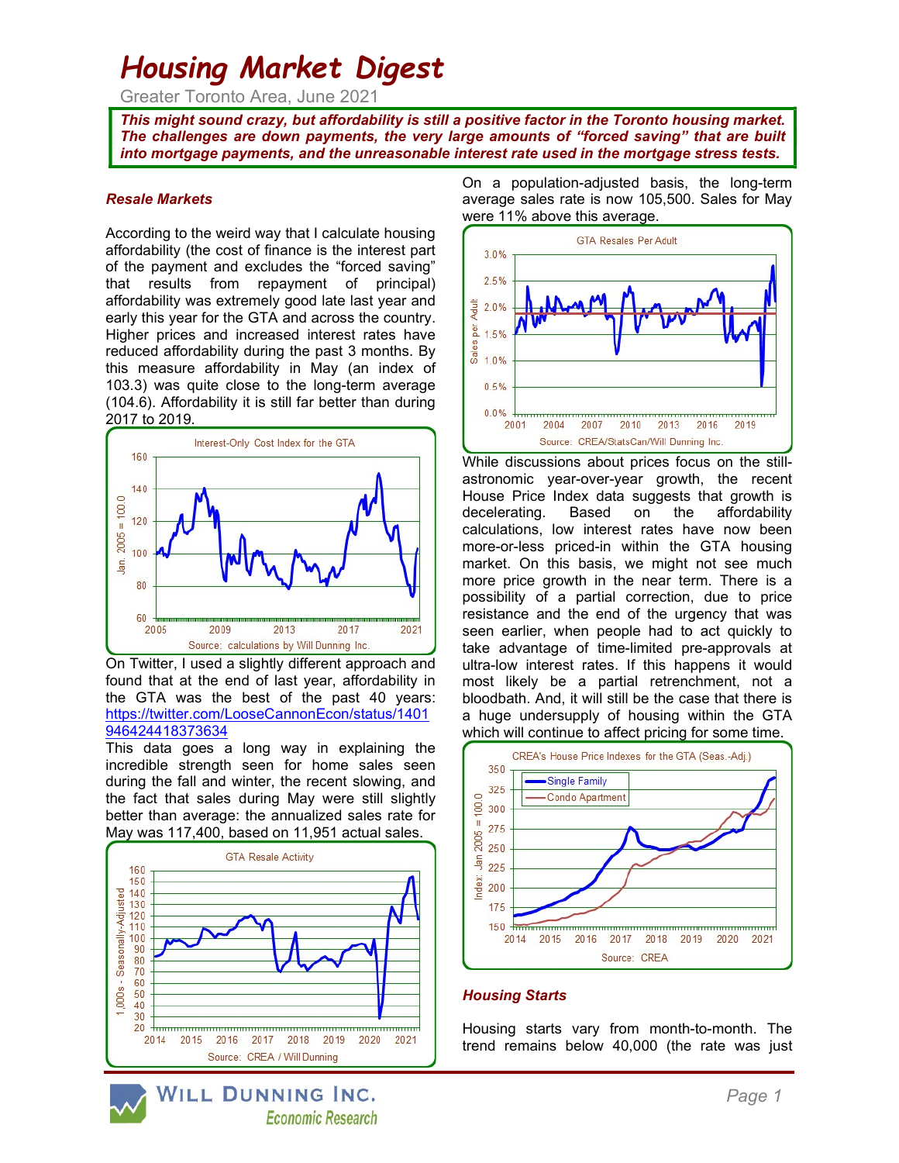# Housing Market Digest

Greater Toronto Area, June 2021

This might sound crazy, but affordability is still a positive factor in the Toronto housing market. The challenges are down payments, the very large amounts of "forced saving" that are built into mortgage payments, and the unreasonable interest rate used in the mortgage stress tests.

#### Resale Markets

According to the weird way that I calculate housing affordability (the cost of finance is the interest part of the payment and excludes the "forced saving" that results from repayment of principal) affordability was extremely good late last year and early this year for the GTA and across the country. Higher prices and increased interest rates have reduced affordability during the past 3 months. By this measure affordability in May (an index of 103.3) was quite close to the long-term average (104.6). Affordability it is still far better than during 2017 to 2019.



On Twitter, I used a slightly different approach and found that at the end of last year, affordability in the GTA was the best of the past 40 years: https://twitter.com/LooseCannonEcon/status/1401 946424418373634

This data goes a long way in explaining the incredible strength seen for home sales seen during the fall and winter, the recent slowing, and the fact that sales during May were still slightly better than average: the annualized sales rate for May was 117,400, based on 11,951 actual sales.



WILL DUNNING INC. **Economic Research**  On a population-adjusted basis, the long-term average sales rate is now 105,500. Sales for May were 11% above this average.



While discussions about prices focus on the stillastronomic year-over-year growth, the recent House Price Index data suggests that growth is decelerating. Based on the affordability calculations, low interest rates have now been more-or-less priced-in within the GTA housing market. On this basis, we might not see much more price growth in the near term. There is a possibility of a partial correction, due to price resistance and the end of the urgency that was seen earlier, when people had to act quickly to take advantage of time-limited pre-approvals at ultra-low interest rates. If this happens it would most likely be a partial retrenchment, not a bloodbath. And, it will still be the case that there is a huge undersupply of housing within the GTA which will continue to affect pricing for some time.



#### Housing Starts

Housing starts vary from month-to-month. The trend remains below 40,000 (the rate was just